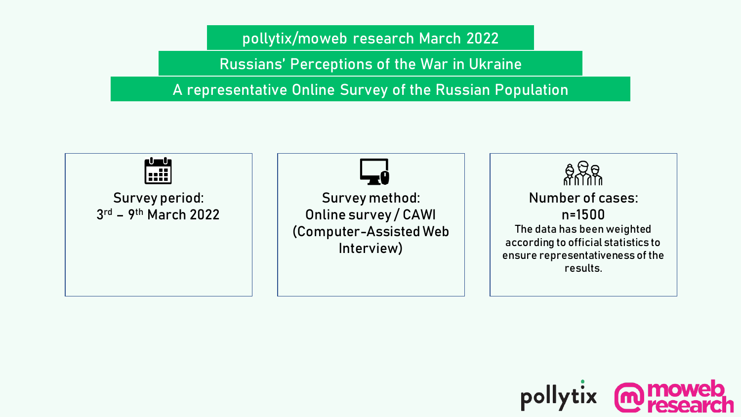**pollytix/moweb research March 2022**

Russians' Perceptions of the War in Ukraine

A representative Online Survey of the Russian Population



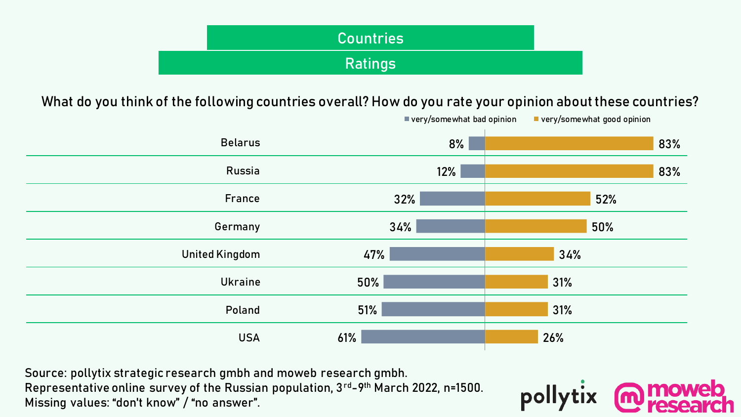| Countries |  |
|-----------|--|
| Ratings   |  |

**What do you think of the following countries overall? How do you rate your opinion about these countries?**



polly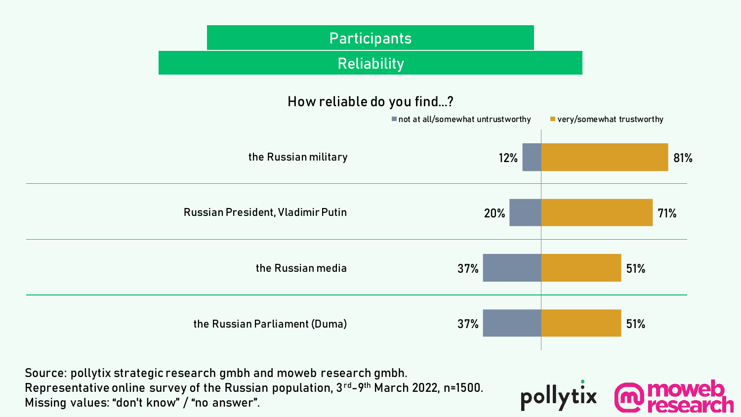

pollyt

Representative online survey of the Russian population, 3rd-9th March 2022, n=1500. Missing values: "don't know" / "no answer".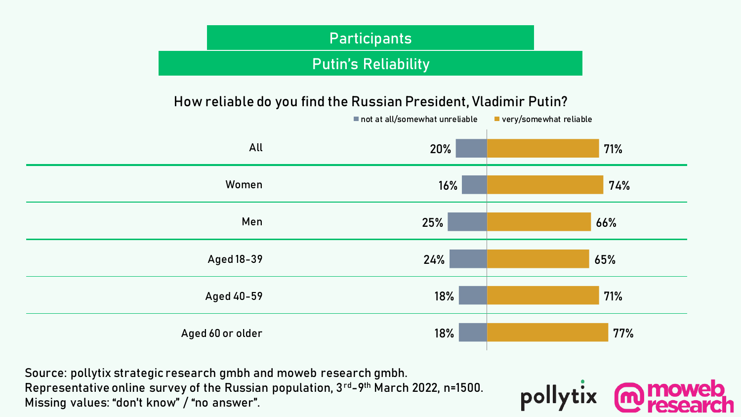# Putin's Reliability **Participants**

#### **How reliable do you find the Russian President, Vladimir Putin?**



pollyt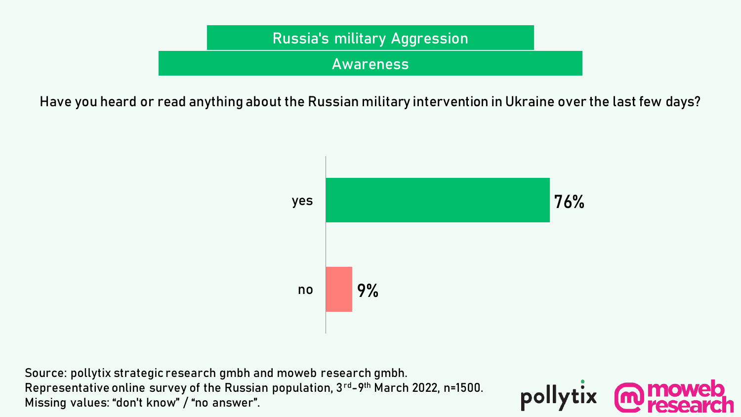

**Have you heard or read anything about the Russian military intervention in Ukraine over the last few days?**



pollyt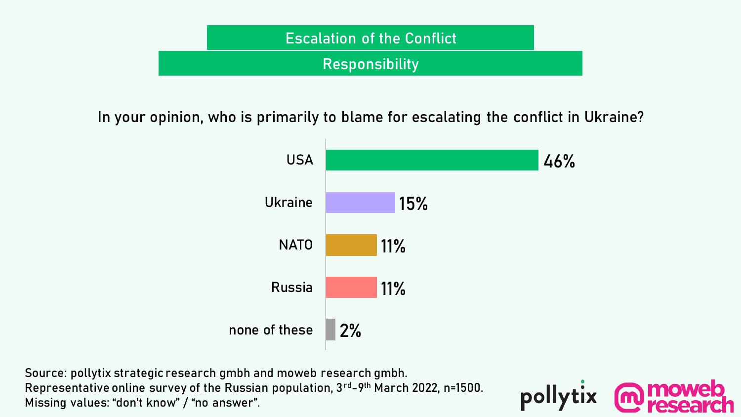

**In your opinion, who is primarily to blame for escalating the conflict in Ukraine?**



pollytix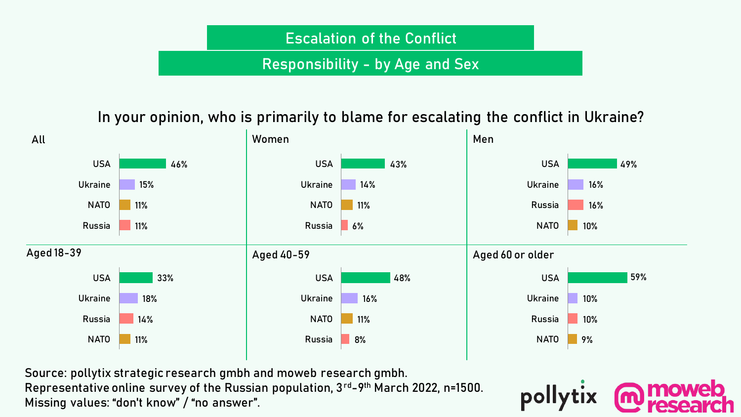# Responsibility - by Age and Sex **Escalation of the Conflict**

**In your opinion, who is primarily to blame for escalating the conflict in Ukraine?**



pollyt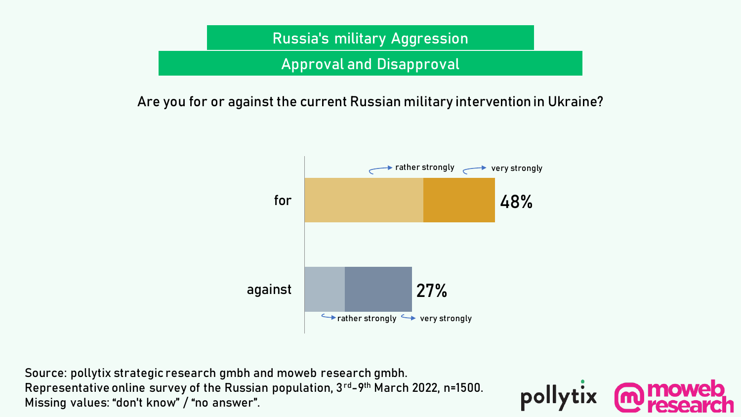

**Are you for or against the current Russian military intervention in Ukraine?**



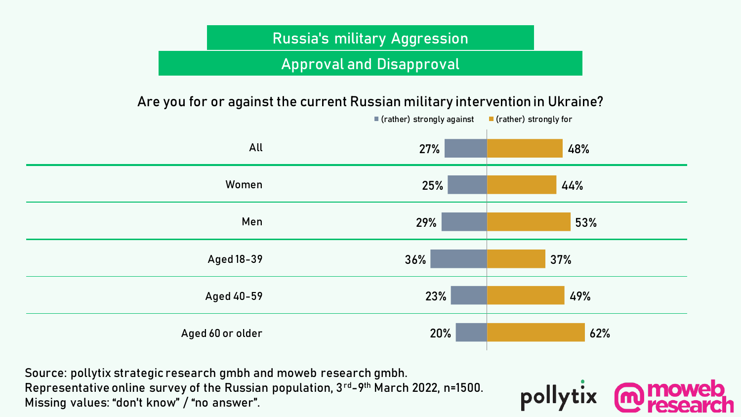# Approval and Disapproval **Russia's military Aggression**

#### **Are you for or against the current Russian military intervention in Ukraine?**



pollyt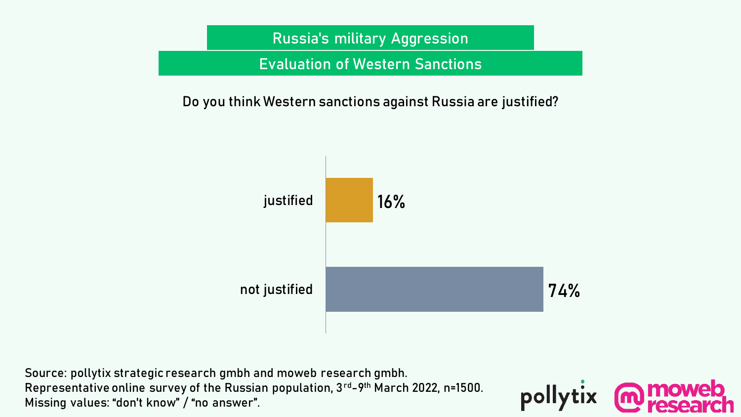

### **Do you think Western sanctions against Russia are justified?**



pollytix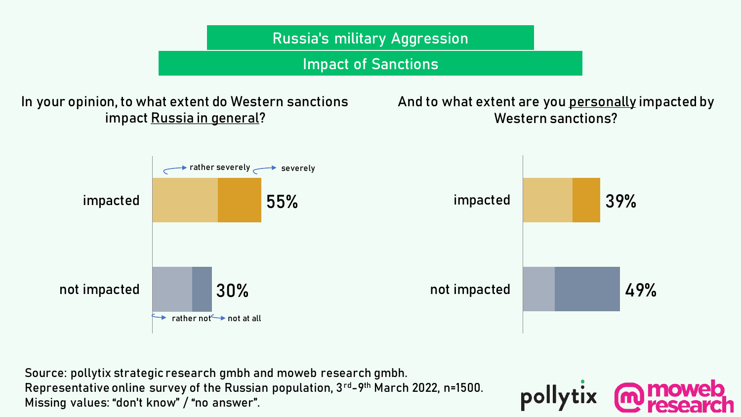

Source: pollytix strategic research gmbh and moweb research gmbh. Representative online survey of the Russian population, 3rd-9th March 2022, n=1500. Missing values: "don't know" / "no answer".

pollyt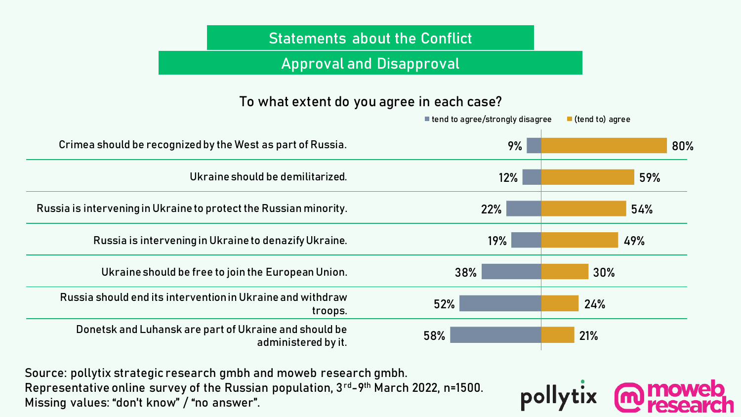## **Statements about the Conflict**

### Approval and Disapproval

#### **To what extent do you agree in each case?**

|                                                                              | ■ tend to agree/strongly disagree | $\blacksquare$ (tend to) agree |
|------------------------------------------------------------------------------|-----------------------------------|--------------------------------|
| Crimea should be recognized by the West as part of Russia.                   | 9%                                | 80%                            |
| Ukraine should be demilitarized.                                             | 12%                               | 59%                            |
| Russia is intervening in Ukraine to protect the Russian minority.            | 22%                               | 54%                            |
| Russia is intervening in Ukraine to denazify Ukraine.                        | 19%                               | 49%                            |
| Ukraine should be free to join the European Union.                           | 38%                               | 30%                            |
| Russia should end its intervention in Ukraine and withdraw<br>troops.        | 52%                               | 24%                            |
| Donetsk and Luhansk are part of Ukraine and should be<br>administered by it. | 58%                               | 21%                            |

pollytix